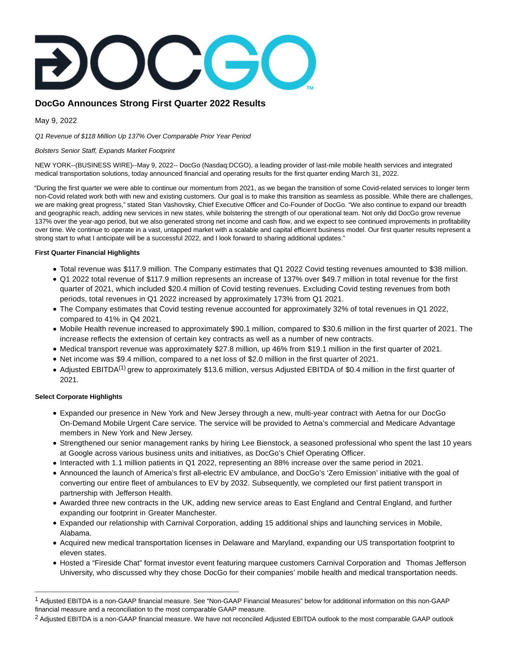# **DocGo Announces Strong First Quarter 2022 Results**

May 9, 2022

Q1 Revenue of \$118 Million Up 137% Over Comparable Prior Year Period

\_\_\_\_\_\_\_\_\_\_\_\_\_\_\_\_\_\_\_\_\_\_\_\_\_\_\_\_\_\_\_\_\_\_\_\_\_\_\_\_\_\_\_\_\_\_\_\_\_\_\_\_\_\_\_\_\_\_\_\_\_\_\_

### Bolsters Senior Staff, Expands Market Footprint

NEW YORK--(BUSINESS WIRE)--May 9, 2022-- DocGo (Nasdaq:DCGO), a leading provider of last-mile mobile health services and integrated medical transportation solutions, today announced financial and operating results for the first quarter ending March 31, 2022.

"During the first quarter we were able to continue our momentum from 2021, as we began the transition of some Covid-related services to longer term non-Covid related work both with new and existing customers. Our goal is to make this transition as seamless as possible. While there are challenges, we are making great progress," stated Stan Vashovsky, Chief Executive Officer and Co-Founder of DocGo. "We also continue to expand our breadth and geographic reach, adding new services in new states, while bolstering the strength of our operational team. Not only did DocGo grow revenue 137% over the year-ago period, but we also generated strong net income and cash flow, and we expect to see continued improvements in profitability over time. We continue to operate in a vast, untapped market with a scalable and capital efficient business model. Our first quarter results represent a strong start to what I anticipate will be a successful 2022, and I look forward to sharing additional updates."

## **First Quarter Financial Highlights**

- Total revenue was \$117.9 million. The Company estimates that Q1 2022 Covid testing revenues amounted to \$38 million.
- Q1 2022 total revenue of \$117.9 million represents an increase of 137% over \$49.7 million in total revenue for the first quarter of 2021, which included \$20.4 million of Covid testing revenues. Excluding Covid testing revenues from both periods, total revenues in Q1 2022 increased by approximately 173% from Q1 2021.
- The Company estimates that Covid testing revenue accounted for approximately 32% of total revenues in Q1 2022, compared to 41% in Q4 2021.
- Mobile Health revenue increased to approximately \$90.1 million, compared to \$30.6 million in the first quarter of 2021. The increase reflects the extension of certain key contracts as well as a number of new contracts.
- Medical transport revenue was approximately \$27.8 million, up 46% from \$19.1 million in the first quarter of 2021.
- Net income was \$9.4 million, compared to a net loss of \$2.0 million in the first quarter of 2021.
- Adjusted EBITDA<sup>(1)</sup> grew to approximately \$13.6 million, versus Adjusted EBITDA of \$0.4 million in the first quarter of 2021.

## **Select Corporate Highlights**

- Expanded our presence in New York and New Jersey through a new, multi-year contract with Aetna for our DocGo On-Demand Mobile Urgent Care service. The service will be provided to Aetna's commercial and Medicare Advantage members in New York and New Jersey.
- Strengthened our senior management ranks by hiring Lee Bienstock, a seasoned professional who spent the last 10 years at Google across various business units and initiatives, as DocGo's Chief Operating Officer.
- Interacted with 1.1 million patients in Q1 2022, representing an 88% increase over the same period in 2021.
- Announced the launch of America's first all-electric EV ambulance, and DocGo's 'Zero Emission' initiative with the goal of converting our entire fleet of ambulances to EV by 2032. Subsequently, we completed our first patient transport in partnership with Jefferson Health.
- Awarded three new contracts in the UK, adding new service areas to East England and Central England, and further expanding our footprint in Greater Manchester.
- Expanded our relationship with Carnival Corporation, adding 15 additional ships and launching services in Mobile, Alabama.
- Acquired new medical transportation licenses in Delaware and Maryland, expanding our US transportation footprint to eleven states.
- Hosted a "Fireside Chat" format investor event featuring marquee customers Carnival Corporation and Thomas Jefferson University, who discussed why they chose DocGo for their companies' mobile health and medical transportation needs.

<sup>2</sup> Adjusted EBITDA is a non-GAAP financial measure. We have not reconciled Adjusted EBITDA outlook to the most comparable GAAP outlook

<sup>1</sup> Adjusted EBITDA is a non-GAAP financial measure. See "Non-GAAP Financial Measures" below for additional information on this non-GAAP financial measure and a reconciliation to the most comparable GAAP measure.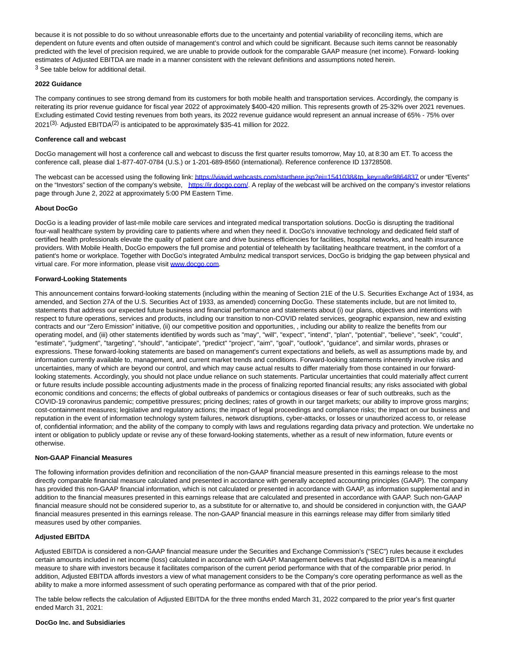because it is not possible to do so without unreasonable efforts due to the uncertainty and potential variability of reconciling items, which are dependent on future events and often outside of management's control and which could be significant. Because such items cannot be reasonably predicted with the level of precision required, we are unable to provide outlook for the comparable GAAP measure (net income). Forward- looking estimates of Adjusted EBITDA are made in a manner consistent with the relevant definitions and assumptions noted herein. 3 See table below for additional detail.

### **2022 Guidance**

The company continues to see strong demand from its customers for both mobile health and transportation services. Accordingly, the company is reiterating its prior revenue guidance for fiscal year 2022 of approximately \$400-420 million. This represents growth of 25-32% over 2021 revenues. Excluding estimated Covid testing revenues from both years, its 2022 revenue guidance would represent an annual increase of 65% - 75% over 2021<sup>(3)</sup>. Adjusted EBITDA<sup>(2)</sup> is anticipated to be approximately \$35-41 million for 2022.

#### **Conference call and webcast**

DocGo management will host a conference call and webcast to discuss the first quarter results tomorrow, May 10, at 8:30 am ET. To access the conference call, please dial 1-877-407-0784 (U.S.) or 1-201-689-8560 (international). Reference conference ID 13728508.

The webcast can be accessed using the following link[: https://viavid.webcasts.com/starthere.jsp?ei=1541038&tp\\_key=a8e9864837 o](https://cts.businesswire.com/ct/CT?id=smartlink&url=https%3A%2F%2Fviavid.webcasts.com%2Fstarthere.jsp%3Fei%3D1541038%26tp_key%3Da8e9864837&esheet=52713370&newsitemid=20220509006110&lan=en-US&anchor=https%3A%2F%2Fviavid.webcasts.com%2Fstarthere.jsp%3Fei%3D1541038%26amp%3Btp_key%3Da8e9864837&index=1&md5=f2317e6845f7c35182bd2ffe62aa5d68)r under "Events" on the "Investors" section of the company's website, [https://ir.docgo.com/.](https://cts.businesswire.com/ct/CT?id=smartlink&url=https%3A%2F%2Fir.docgo.com%2F&esheet=52713370&newsitemid=20220509006110&lan=en-US&anchor=https%3A%2F%2Fir.docgo.com%2F&index=2&md5=945b66a6ca2cccc926fd9ff7a68ace6f) A replay of the webcast will be archived on the company's investor relations page through June 2, 2022 at approximately 5:00 PM Eastern Time.

#### **About DocGo**

DocGo is a leading provider of last-mile mobile care services and integrated medical transportation solutions. DocGo is disrupting the traditional four-wall healthcare system by providing care to patients where and when they need it. DocGo's innovative technology and dedicated field staff of certified health professionals elevate the quality of patient care and drive business efficiencies for facilities, hospital networks, and health insurance providers. With Mobile Health, DocGo empowers the full promise and potential of telehealth by facilitating healthcare treatment, in the comfort of a patient's home or workplace. Together with DocGo's integrated Ambulnz medical transport services, DocGo is bridging the gap between physical and virtual care. For more information, please visi[t www.docgo.com.](https://cts.businesswire.com/ct/CT?id=smartlink&url=http%3A%2F%2Fwww.docgo.com&esheet=52713370&newsitemid=20220509006110&lan=en-US&anchor=www.docgo.com&index=3&md5=a705bfdec5b995472797874439e7ec5d)

### **Forward-Looking Statements**

This announcement contains forward-looking statements (including within the meaning of Section 21E of the U.S. Securities Exchange Act of 1934, as amended, and Section 27A of the U.S. Securities Act of 1933, as amended) concerning DocGo. These statements include, but are not limited to, statements that address our expected future business and financial performance and statements about (i) our plans, objectives and intentions with respect to future operations, services and products, including our transition to non-COVID related services, geographic expansion, new and existing contracts and our "Zero Emission" initiative, (ii) our competitive position and opportunities, , including our ability to realize the benefits from our operating model, and (iii) other statements identified by words such as "may", "will", "expect", "intend", "plan", "potential", "believe", "seek", "could", "estimate", "judgment", "targeting", "should", "anticipate", "predict" "project", "aim", "goal", "outlook", "guidance", and similar words, phrases or expressions. These forward-looking statements are based on management's current expectations and beliefs, as well as assumptions made by, and information currently available to, management, and current market trends and conditions. Forward-looking statements inherently involve risks and uncertainties, many of which are beyond our control, and which may cause actual results to differ materially from those contained in our forwardlooking statements. Accordingly, you should not place undue reliance on such statements. Particular uncertainties that could materially affect current or future results include possible accounting adjustments made in the process of finalizing reported financial results; any risks associated with global economic conditions and concerns; the effects of global outbreaks of pandemics or contagious diseases or fear of such outbreaks, such as the COVID-19 coronavirus pandemic; competitive pressures; pricing declines; rates of growth in our target markets; our ability to improve gross margins; cost-containment measures; legislative and regulatory actions; the impact of legal proceedings and compliance risks; the impact on our business and reputation in the event of information technology system failures, network disruptions, cyber-attacks, or losses or unauthorized access to, or release of, confidential information; and the ability of the company to comply with laws and regulations regarding data privacy and protection. We undertake no intent or obligation to publicly update or revise any of these forward-looking statements, whether as a result of new information, future events or otherwise.

### **Non-GAAP Financial Measures**

The following information provides definition and reconciliation of the non-GAAP financial measure presented in this earnings release to the most directly comparable financial measure calculated and presented in accordance with generally accepted accounting principles (GAAP). The company has provided this non-GAAP financial information, which is not calculated or presented in accordance with GAAP, as information supplemental and in addition to the financial measures presented in this earnings release that are calculated and presented in accordance with GAAP. Such non-GAAP financial measure should not be considered superior to, as a substitute for or alternative to, and should be considered in conjunction with, the GAAP financial measures presented in this earnings release. The non-GAAP financial measure in this earnings release may differ from similarly titled measures used by other companies.

### **Adjusted EBITDA**

Adjusted EBITDA is considered a non-GAAP financial measure under the Securities and Exchange Commission's ("SEC") rules because it excludes certain amounts included in net income (loss) calculated in accordance with GAAP. Management believes that Adjusted EBITDA is a meaningful measure to share with investors because it facilitates comparison of the current period performance with that of the comparable prior period. In addition, Adjusted EBITDA affords investors a view of what management considers to be the Company's core operating performance as well as the ability to make a more informed assessment of such operating performance as compared with that of the prior period.

The table below reflects the calculation of Adjusted EBITDA for the three months ended March 31, 2022 compared to the prior year's first quarter ended March 31, 2021:

### **DocGo Inc. and Subsidiaries**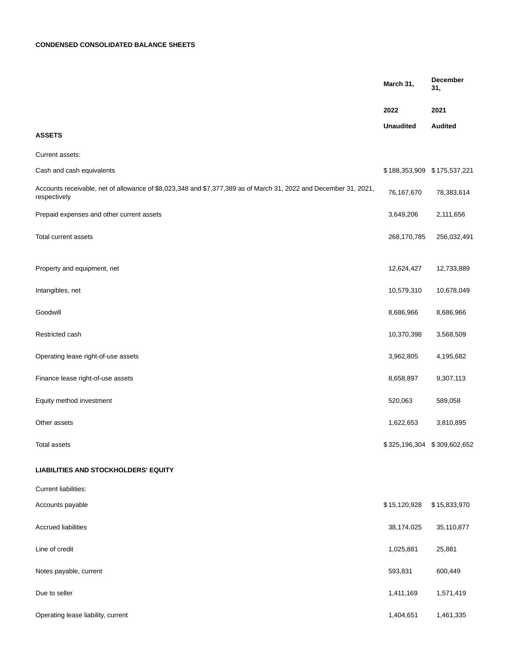# **CONDENSED CONSOLIDATED BALANCE SHEETS**

|                                                                                                                                  | March 31,                   | <b>December</b><br>31, |
|----------------------------------------------------------------------------------------------------------------------------------|-----------------------------|------------------------|
|                                                                                                                                  | 2022                        | 2021                   |
| <b>ASSETS</b>                                                                                                                    | <b>Unaudited</b>            | <b>Audited</b>         |
| Current assets:                                                                                                                  |                             |                        |
| Cash and cash equivalents                                                                                                        | \$188,353,909 \$175,537,221 |                        |
| Accounts receivable, net of allowance of \$8,023,348 and \$7,377,389 as of March 31, 2022 and December 31, 2021,<br>respectively | 76,167,670                  | 78,383,614             |
| Prepaid expenses and other current assets                                                                                        | 3,649,206                   | 2,111,656              |
| Total current assets                                                                                                             | 268,170,785                 | 256,032,491            |
| Property and equipment, net                                                                                                      | 12,624,427                  | 12,733,889             |
| Intangibles, net                                                                                                                 | 10,579,310                  | 10,678,049             |
| Goodwill                                                                                                                         | 8,686,966                   | 8,686,966              |
| Restricted cash                                                                                                                  | 10,370,398                  | 3,568,509              |
| Operating lease right-of-use assets                                                                                              | 3,962,805                   | 4,195,682              |
| Finance lease right-of-use assets                                                                                                | 8,658,897                   | 9,307,113              |
| Equity method investment                                                                                                         | 520,063                     | 589,058                |
| Other assets                                                                                                                     | 1,622,653                   | 3,810,895              |
| Total assets                                                                                                                     | \$325,196,304 \$309,602,652 |                        |
| LIABILITIES AND STOCKHOLDERS' EQUITY                                                                                             |                             |                        |
| Current liabilities:                                                                                                             |                             |                        |
| Accounts payable                                                                                                                 | \$15,120,928                | \$15,833,970           |
| <b>Accrued liabilities</b>                                                                                                       | 38,174,025                  | 35,110,877             |
| Line of credit                                                                                                                   | 1,025,881                   | 25,881                 |
| Notes payable, current                                                                                                           | 593,831                     | 600,449                |
| Due to seller                                                                                                                    | 1,411,169                   | 1,571,419              |
| Operating lease liability, current                                                                                               | 1,404,651                   | 1,461,335              |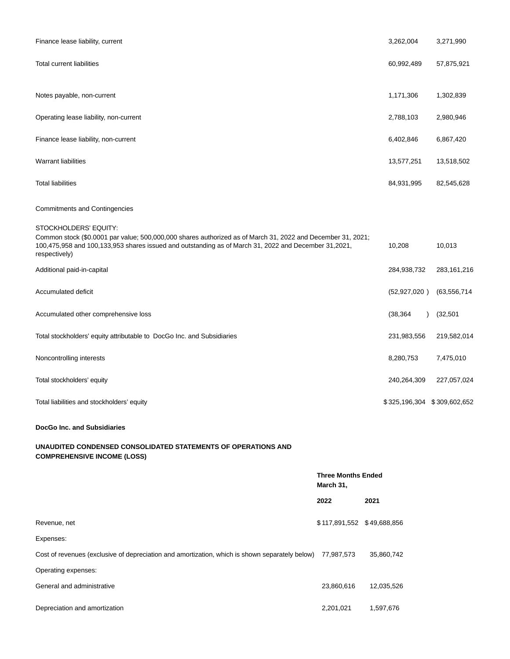| Finance lease liability, current                                                                                                                                                                                                                              | 3,262,004                   | 3,271,990      |
|---------------------------------------------------------------------------------------------------------------------------------------------------------------------------------------------------------------------------------------------------------------|-----------------------------|----------------|
| <b>Total current liabilities</b>                                                                                                                                                                                                                              | 60,992,489                  | 57,875,921     |
| Notes payable, non-current                                                                                                                                                                                                                                    | 1,171,306                   | 1,302,839      |
| Operating lease liability, non-current                                                                                                                                                                                                                        | 2,788,103                   | 2,980,946      |
| Finance lease liability, non-current                                                                                                                                                                                                                          | 6,402,846                   | 6,867,420      |
| <b>Warrant liabilities</b>                                                                                                                                                                                                                                    | 13,577,251                  | 13,518,502     |
| <b>Total liabilities</b>                                                                                                                                                                                                                                      | 84,931,995                  | 82,545,628     |
| <b>Commitments and Contingencies</b>                                                                                                                                                                                                                          |                             |                |
| STOCKHOLDERS' EQUITY:<br>Common stock (\$0.0001 par value; 500,000,000 shares authorized as of March 31, 2022 and December 31, 2021;<br>100,475,958 and 100,133,953 shares issued and outstanding as of March 31, 2022 and December 31,2021,<br>respectively) | 10,208                      | 10,013         |
| Additional paid-in-capital                                                                                                                                                                                                                                    | 284,938,732                 | 283, 161, 216  |
| Accumulated deficit                                                                                                                                                                                                                                           | (52, 927, 020)              | (63, 556, 714) |
| Accumulated other comprehensive loss                                                                                                                                                                                                                          | (38, 364)                   | (32, 501)      |
| Total stockholders' equity attributable to DocGo Inc. and Subsidiaries                                                                                                                                                                                        | 231,983,556                 | 219,582,014    |
| Noncontrolling interests                                                                                                                                                                                                                                      | 8,280,753                   | 7,475,010      |
| Total stockholders' equity                                                                                                                                                                                                                                    | 240,264,309                 | 227,057,024    |
| Total liabilities and stockholders' equity                                                                                                                                                                                                                    | \$325,196,304 \$309,602,652 |                |

# **DocGo Inc. and Subsidiaries**

# **UNAUDITED CONDENSED CONSOLIDATED STATEMENTS OF OPERATIONS AND COMPREHENSIVE INCOME (LOSS)**

|                                                                                                | <b>Three Months Ended</b><br>March 31, |            |
|------------------------------------------------------------------------------------------------|----------------------------------------|------------|
|                                                                                                | 2022                                   | 2021       |
| Revenue, net                                                                                   | \$117,891,552 \$49,688,856             |            |
| Expenses:                                                                                      |                                        |            |
| Cost of revenues (exclusive of depreciation and amortization, which is shown separately below) | 77,987,573                             | 35,860,742 |
| Operating expenses:                                                                            |                                        |            |
| General and administrative                                                                     | 23,860,616                             | 12,035,526 |
| Depreciation and amortization                                                                  | 2,201,021                              | 1,597,676  |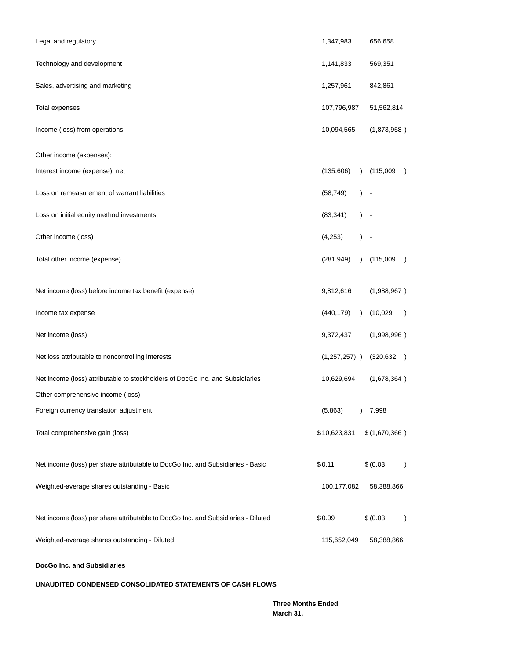| Legal and regulatory                                                              | 1,347,983       |               | 656,658                     |               |
|-----------------------------------------------------------------------------------|-----------------|---------------|-----------------------------|---------------|
| Technology and development                                                        | 1,141,833       |               | 569,351                     |               |
| Sales, advertising and marketing                                                  | 1,257,961       |               | 842,861                     |               |
| <b>Total expenses</b>                                                             | 107,796,987     |               | 51,562,814                  |               |
| Income (loss) from operations                                                     | 10,094,565      |               | (1,873,958)                 |               |
| Other income (expenses):                                                          |                 |               |                             |               |
| Interest income (expense), net                                                    | (135,606)       | $\lambda$     | (115,009)                   | $\lambda$     |
| Loss on remeasurement of warrant liabilities                                      | (58, 749)       |               |                             |               |
| Loss on initial equity method investments                                         | (83, 341)       | $\lambda$     |                             |               |
| Other income (loss)                                                               | (4,253)         | $\mathcal{L}$ |                             |               |
| Total other income (expense)                                                      | (281, 949)      | $\lambda$     | (115,009)<br>$\rightarrow$  |               |
| Net income (loss) before income tax benefit (expense)                             | 9,812,616       |               | (1,988,967)                 |               |
| Income tax expense                                                                | (440, 179)      | $\lambda$     | (10,029)                    | $\rightarrow$ |
| Net income (loss)                                                                 | 9,372,437       |               | (1,998,996)                 |               |
| Net loss attributable to noncontrolling interests                                 | $(1,257,257)$ ) |               | (320, 632)<br>$\rightarrow$ |               |
| Net income (loss) attributable to stockholders of DocGo Inc. and Subsidiaries     | 10,629,694      |               | (1,678,364)                 |               |
| Other comprehensive income (loss)                                                 |                 |               |                             |               |
| Foreign currency translation adjustment                                           | (5,863)         |               | ) 7,998                     |               |
| Total comprehensive gain (loss)                                                   | \$10,623,831    |               | \$(1,670,366)               |               |
| Net income (loss) per share attributable to DocGo Inc. and Subsidiaries - Basic   | \$0.11          |               | \$ (0.03)                   | $\lambda$     |
| Weighted-average shares outstanding - Basic                                       | 100,177,082     |               | 58,388,866                  |               |
| Net income (loss) per share attributable to DocGo Inc. and Subsidiaries - Diluted | \$0.09          |               | \$ (0.03)                   | $\lambda$     |
| Weighted-average shares outstanding - Diluted                                     | 115,652,049     |               | 58,388,866                  |               |

**DocGo Inc. and Subsidiaries**

**UNAUDITED CONDENSED CONSOLIDATED STATEMENTS OF CASH FLOWS**

**Three Months Ended March 31,**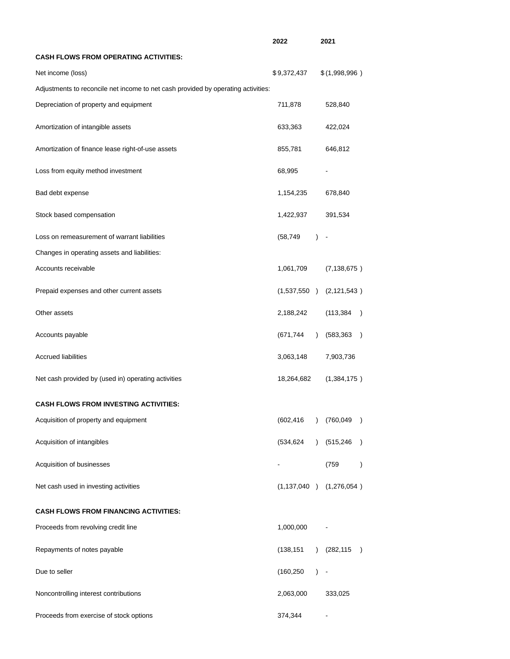|                                                                                   | 2022        |           | 2021                        |               |
|-----------------------------------------------------------------------------------|-------------|-----------|-----------------------------|---------------|
| <b>CASH FLOWS FROM OPERATING ACTIVITIES:</b>                                      |             |           |                             |               |
| Net income (loss)                                                                 | \$9,372,437 |           | \$(1,998,996)               |               |
| Adjustments to reconcile net income to net cash provided by operating activities: |             |           |                             |               |
| Depreciation of property and equipment                                            | 711,878     |           | 528,840                     |               |
| Amortization of intangible assets                                                 | 633,363     |           | 422,024                     |               |
| Amortization of finance lease right-of-use assets                                 | 855,781     |           | 646,812                     |               |
| Loss from equity method investment                                                | 68,995      |           |                             |               |
| Bad debt expense                                                                  | 1,154,235   |           | 678,840                     |               |
| Stock based compensation                                                          | 1,422,937   |           | 391,534                     |               |
| Loss on remeasurement of warrant liabilities                                      | (58, 749)   | $\lambda$ |                             |               |
| Changes in operating assets and liabilities:                                      |             |           |                             |               |
| Accounts receivable                                                               | 1,061,709   |           | (7, 138, 675)               |               |
| Prepaid expenses and other current assets                                         |             |           | $(1,537,550)$ $(2,121,543)$ |               |
| Other assets                                                                      | 2,188,242   |           | (113, 384)                  |               |
| Accounts payable                                                                  | (671, 744)  | $\lambda$ | (583,363<br>$\lambda$       |               |
| <b>Accrued liabilities</b>                                                        | 3,063,148   |           | 7,903,736                   |               |
| Net cash provided by (used in) operating activities                               | 18,264,682  |           | (1,384,175)                 |               |
| <b>CASH FLOWS FROM INVESTING ACTIVITIES:</b>                                      |             |           |                             |               |
| Acquisition of property and equipment                                             | (602, 416)  | $\lambda$ | (760,049<br>$\lambda$       |               |
| Acquisition of intangibles                                                        | (534, 624)  | $\lambda$ | (515,246)                   | $\mathcal{E}$ |
| Acquisition of businesses                                                         |             |           | (759                        | $\mathcal{E}$ |
| Net cash used in investing activities                                             |             |           | $(1,137,040)$ $(1,276,054)$ |               |
| <b>CASH FLOWS FROM FINANCING ACTIVITIES:</b>                                      |             |           |                             |               |
| Proceeds from revolving credit line                                               | 1,000,000   |           |                             |               |
| Repayments of notes payable                                                       | (138, 151)  | $\lambda$ | (282, 115)                  | $\lambda$     |
| Due to seller                                                                     | (160, 250)  | $\lambda$ |                             |               |
| Noncontrolling interest contributions                                             | 2,063,000   |           | 333,025                     |               |
| Proceeds from exercise of stock options                                           | 374,344     |           |                             |               |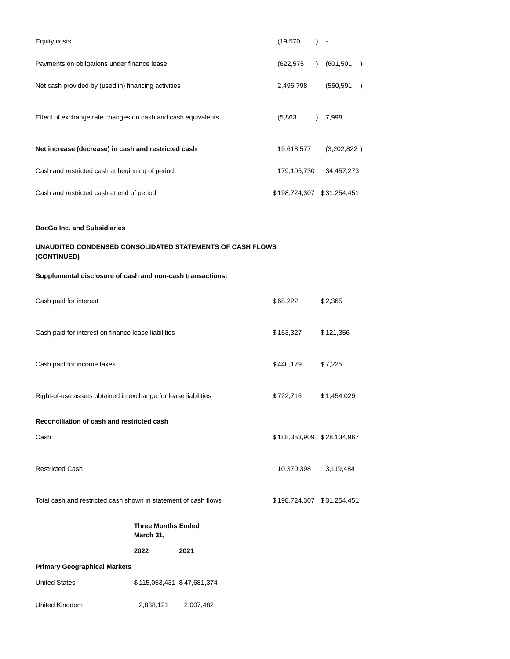| Equity costs                                                             | (19.570)                   | $\sim$    |             |               |
|--------------------------------------------------------------------------|----------------------------|-----------|-------------|---------------|
| Payments on obligations under finance lease                              | (622,575)                  | $\lambda$ | (601, 501)  | $\rightarrow$ |
| Net cash provided by (used in) financing activities                      | 2,496,798                  |           | (550,591    | $\lambda$     |
| Effect of exchange rate changes on cash and cash equivalents             | (5,863)                    |           | 7,998       |               |
| Net increase (decrease) in cash and restricted cash                      | 19,618,577                 |           | (3,202,822) |               |
| Cash and restricted cash at beginning of period                          | 179,105,730                |           | 34,457,273  |               |
| Cash and restricted cash at end of period                                | \$198,724,307 \$31,254,451 |           |             |               |
| <b>DocGo Inc. and Subsidiaries</b>                                       |                            |           |             |               |
| UNAUDITED CONDENSED CONSOLIDATED STATEMENTS OF CASH FLOWS<br>(CONTINUED) |                            |           |             |               |
| Supplemental disclosure of cash and non-cash transactions:               |                            |           |             |               |

| Cash paid for interest                                          |           |                            | \$68,222                   | \$2,365     |
|-----------------------------------------------------------------|-----------|----------------------------|----------------------------|-------------|
| Cash paid for interest on finance lease liabilities             |           |                            | \$153,327                  | \$121,356   |
| Cash paid for income taxes                                      |           |                            | \$440,179                  | \$7,225     |
| Right-of-use assets obtained in exchange for lease liabilities  |           |                            | \$722,716                  | \$1,454,029 |
| Reconciliation of cash and restricted cash                      |           |                            |                            |             |
| Cash                                                            |           |                            | \$188,353,909 \$28,134,967 |             |
| <b>Restricted Cash</b>                                          |           |                            | 10,370,398                 | 3,119,484   |
| Total cash and restricted cash shown in statement of cash flows |           |                            | \$198,724,307 \$31,254,451 |             |
|                                                                 | March 31, | <b>Three Months Ended</b>  |                            |             |
|                                                                 | 2022      | 2021                       |                            |             |
| <b>Primary Geographical Markets</b>                             |           |                            |                            |             |
| <b>United States</b>                                            |           | \$115,053,431 \$47,681,374 |                            |             |

United Kingdom 2,838,121 2,007,482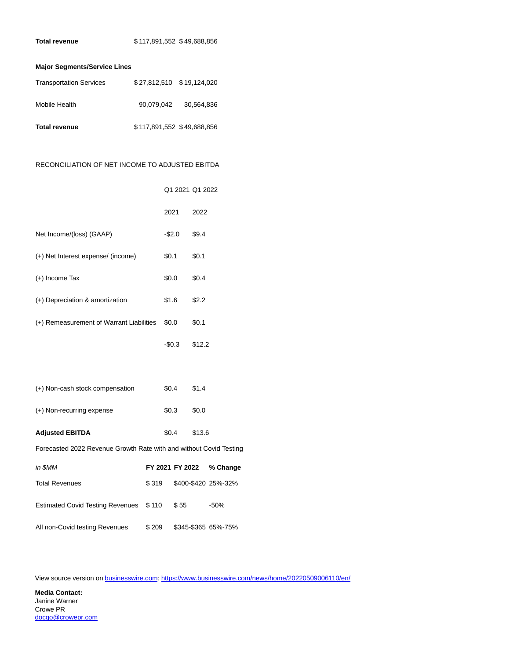## **Major Segments/Service Lines**

| <b>Transportation Services</b> |                            |            |
|--------------------------------|----------------------------|------------|
| Mobile Health                  | 90.079.042                 | 30.564.836 |
| <b>Total revenue</b>           | \$117,891,552 \$49,688,856 |            |

## RECONCILIATION OF NET INCOME TO ADJUSTED EBITDA

|                                                                    |       | Q1 2021 Q1 2022 |        |                     |
|--------------------------------------------------------------------|-------|-----------------|--------|---------------------|
|                                                                    |       | 2021            | 2022   |                     |
| Net Income/(loss) (GAAP)                                           |       | $-\$2.0$        | \$9.4  |                     |
| (+) Net Interest expense/ (income)                                 |       | \$0.1           | \$0.1  |                     |
| $(+)$ Income Tax                                                   |       | \$0.0           | \$0.4  |                     |
| (+) Depreciation & amortization                                    |       | \$1.6           | \$2.2  |                     |
| (+) Remeasurement of Warrant Liabilities                           |       | \$0.0\$         | \$0.1  |                     |
|                                                                    |       | -\$0.3          | \$12.2 |                     |
|                                                                    |       |                 |        |                     |
| (+) Non-cash stock compensation                                    |       | \$0.4           | \$1.4  |                     |
| (+) Non-recurring expense                                          |       | \$0.3           | \$0.0  |                     |
| <b>Adjusted EBITDA</b>                                             |       | \$0.4\$         | \$13.6 |                     |
| Forecasted 2022 Revenue Growth Rate with and without Covid Testing |       |                 |        |                     |
| in \$MM                                                            |       | FY 2021 FY 2022 |        | % Change            |
| <b>Total Revenues</b>                                              | \$319 |                 |        | \$400-\$420 25%-32% |
| <b>Estimated Covid Testing Revenues</b>                            | \$110 | \$55            |        | $-50%$              |
| All non-Covid testing Revenues                                     | \$209 |                 |        | \$345-\$365 65%-75% |

View source version on [businesswire.com:](http://businesswire.com/)<https://www.businesswire.com/news/home/20220509006110/en/>

**Media Contact:** Janine Warner Crowe PR [docgo@crowepr.com](mailto:docgo@crowepr.com)